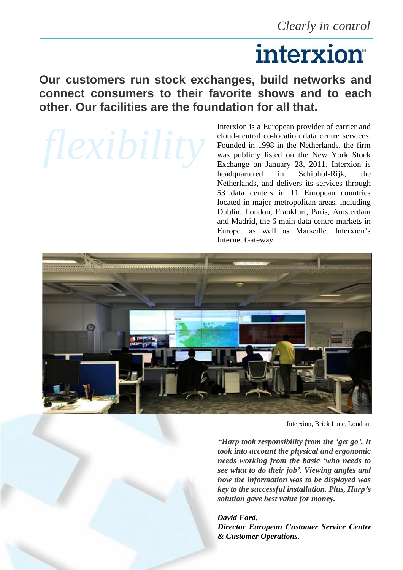# interxion

## **Our customers run stock exchanges, build networks and connect consumers to their favorite shows and to each other. Our facilities are the foundation for all that.**

Interxion is a European provider of carrier and cloud-neutral co-location data centre services. Founded in 1998 in the Netherlands, the firm was publicly listed on the New York Stock Exchange on January 28, 2011. Interxion is headquartered in Schiphol-Rijk, the Netherlands, and delivers its services through 53 data centers in 11 European countries located in major metropolitan areas, including Dublin, London, Frankfurt, Paris, Amsterdam and Madrid, the 6 main data centre markets in Europe, as well as Marseille, Interxion's Internet Gateway.



Interxion, Brick Lane, London.

*"Harp took responsibility from the 'get go'. It took into account the physical and ergonomic needs working from the basic 'who needs to see what to do their job'. Viewing angles and how the information was to be displayed was key to the successful installation. Plus, Harp's solution gave best value for money.*

*David Ford. Director European Customer Service Centre & Customer Operations.*